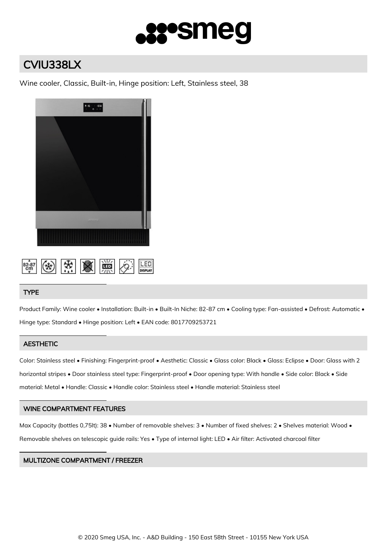

# CVIU338LX

Wine cooler, Classic, Built-in, Hinge position: Left, Stainless steel, 38





# TYPE

Product Family: Wine cooler • Installation: Built-in • Built-In Niche: 82-87 cm • Cooling type: Fan-assisted • Defrost: Automatic • Hinge type: Standard • Hinge position: Left • EAN code: 8017709253721

# **AESTHETIC**

Color: Stainless steel • Finishing: Fingerprint-proof • Aesthetic: Classic • Glass color: Black • Glass: Eclipse • Door: Glass with 2 horizontal stripes • Door stainless steel type: Fingerprint-proof • Door opening type: With handle • Side color: Black • Side material: Metal • Handle: Classic • Handle color: Stainless steel • Handle material: Stainless steel

# WINE COMPARTMENT FEATURES

Max Capacity (bottles 0,75lt): 38 • Number of removable shelves: 3 • Number of fixed shelves: 2 • Shelves material: Wood • Removable shelves on telescopic guide rails: Yes • Type of internal light: LED • Air filter: Activated charcoal filter

# MULTIZONE COMPARTMENT / FREEZER